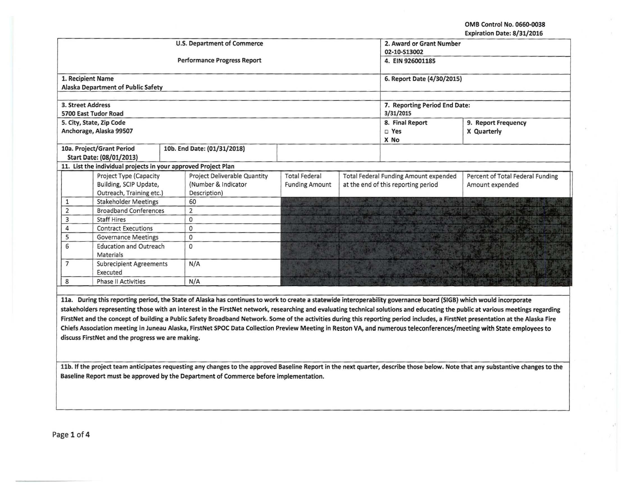OMB Control No. 0660-0038 Expiration Date: 8/31/2016

|                                  |                                                                | <b>U.S. Department of Commerce</b> | 2. Award or Grant Number      |                       |                                     |                                       |                                  |
|----------------------------------|----------------------------------------------------------------|------------------------------------|-------------------------------|-----------------------|-------------------------------------|---------------------------------------|----------------------------------|
|                                  |                                                                |                                    | 02-10-S13002                  |                       |                                     |                                       |                                  |
|                                  |                                                                | <b>Performance Progress Report</b> | 4. EIN 926001185              |                       |                                     |                                       |                                  |
|                                  |                                                                |                                    |                               |                       |                                     |                                       |                                  |
| 1. Recipient Name                |                                                                |                                    |                               |                       |                                     | 6. Report Date (4/30/2015)            |                                  |
|                                  | <b>Alaska Department of Public Safety</b>                      |                                    |                               |                       |                                     |                                       |                                  |
|                                  |                                                                |                                    |                               |                       |                                     |                                       |                                  |
| 3. Street Address                |                                                                |                                    | 7. Reporting Period End Date: |                       |                                     |                                       |                                  |
|                                  | 5700 East Tudor Road                                           |                                    | 3/31/2015                     |                       |                                     |                                       |                                  |
|                                  | 5. City, State, Zip Code                                       |                                    |                               |                       |                                     | 8. Final Report                       | 9. Report Frequency              |
|                                  | Anchorage, Alaska 99507                                        |                                    |                               |                       |                                     | D Yes                                 | X Quarterly                      |
|                                  |                                                                |                                    |                               |                       | X No                                |                                       |                                  |
|                                  | 10a. Project/Grant Period                                      |                                    | 10b. End Date: (01/31/2018)   |                       |                                     |                                       |                                  |
|                                  | Start Date: (08/01/2013)                                       |                                    |                               |                       |                                     |                                       |                                  |
|                                  | 11. List the individual projects in your approved Project Plan |                                    |                               |                       |                                     |                                       |                                  |
|                                  | Project Type (Capacity                                         |                                    | Project Deliverable Quantity  | <b>Total Federal</b>  |                                     | Total Federal Funding Amount expended | Percent of Total Federal Funding |
|                                  | Building, SCIP Update,                                         |                                    | (Number & Indicator           | <b>Funding Amount</b> | at the end of this reporting period |                                       | Amount expended                  |
|                                  | Outreach, Training etc.)                                       |                                    | Description)                  |                       |                                     |                                       |                                  |
| <b>Stakeholder Meetings</b><br>1 |                                                                | 60                                 |                               |                       |                                     |                                       |                                  |
| $\overline{2}$                   | <b>Broadband Conferences</b>                                   | $\overline{2}$                     |                               |                       |                                     |                                       |                                  |
| 3                                | <b>Staff Hires</b>                                             | $\mathbf{0}$                       |                               |                       |                                     |                                       |                                  |
| 4                                | <b>Contract Executions</b>                                     |                                    | $\mathbf 0$                   |                       |                                     |                                       |                                  |
| 5                                | <b>Governance Meetings</b>                                     |                                    | $\mathbf 0$                   |                       |                                     |                                       |                                  |
| 6                                | <b>Education and Outreach</b>                                  | 0                                  |                               |                       |                                     |                                       |                                  |
|                                  | <b>Materials</b>                                               |                                    |                               |                       |                                     |                                       |                                  |
| $\overline{7}$                   | <b>Subrecipient Agreements</b>                                 |                                    | N/A                           |                       |                                     |                                       |                                  |
|                                  | Executed                                                       |                                    |                               |                       |                                     |                                       |                                  |
| 8                                | <b>Phase II Activities</b>                                     |                                    | N/A                           |                       |                                     |                                       |                                  |

lla. During this reporting period, the State of Alaska has continues to work to create a statewide interoperability governance board (SIGB) which would incorporate stakeholders representing those with an interest in the FirstNet network, researching and evaluating technical solutions and educating the public at various meetings regarding FirstNet and the concept of building a Public Safety Broadband Network. Some of the activities during this reporting period includes, a FirstNet presentation at the Alaska Fire Chiefs Association meeting in Juneau Alaska, FirstNet SPOC Data Collection Preview Meeting in Reston VA, and numerous teleconferences/meeting with State employees to discuss FirstNet and the progress we are making.

llb. If the project team anticipates requesting any changes to the approved Baseline Report in the next quarter, describe those below. Note that any substantive changes to the Baseline Report must be approved by the Department of Commerce before implementation.

Page 1 of 4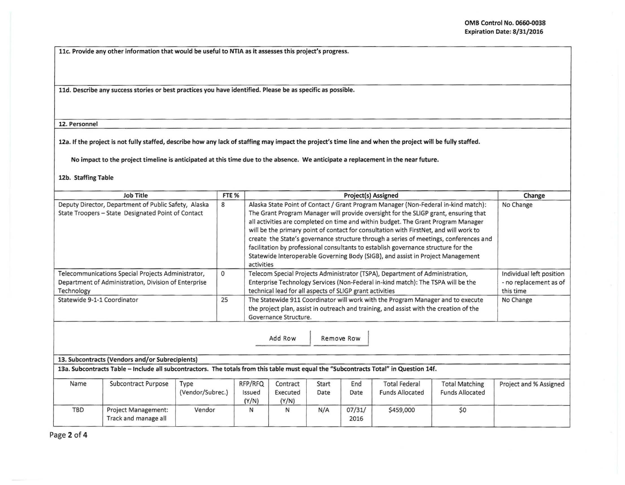llc. Provide any other information that would be useful to NTIA as it assesses this project's progress.

lld. Describe any success stories or best practices you have identified. Please be as specific as possible.

12. Personnel

12a. If the project is not fully staffed, describe how any lack of staffing may impact the project's time line and when the project will be fully staffed.

No impact to the project timeline is anticipated at this time due to the absence. We anticipate a replacement in the near future.

12b. Staffing Table

| Job Title                                                                                                                | FTE <sub>%</sub> | <b>Project(s) Assigned</b>                                                                                                                                                                                                                                                                                                                                                                                                                                                                                                                                                                                                              | Change                                                          |
|--------------------------------------------------------------------------------------------------------------------------|------------------|-----------------------------------------------------------------------------------------------------------------------------------------------------------------------------------------------------------------------------------------------------------------------------------------------------------------------------------------------------------------------------------------------------------------------------------------------------------------------------------------------------------------------------------------------------------------------------------------------------------------------------------------|-----------------------------------------------------------------|
| Deputy Director, Department of Public Safety, Alaska<br>State Troopers - State Designated Point of Contact               | 8                | Alaska State Point of Contact / Grant Program Manager (Non-Federal in-kind match):<br>The Grant Program Manager will provide oversight for the SLIGP grant, ensuring that<br>all activities are completed on time and within budget. The Grant Program Manager<br>will be the primary point of contact for consultation with FirstNet, and will work to<br>create the State's governance structure through a series of meetings, conferences and<br>facilitation by professional consultants to establish governance structure for the<br>Statewide Interoperable Governing Body (SIGB), and assist in Project Management<br>activities | No Change                                                       |
| Telecommunications Special Projects Administrator,<br>Department of Administration, Division of Enterprise<br>Technology | 0                | Telecom Special Projects Administrator (TSPA), Department of Administration,<br>Enterprise Technology Services (Non-Federal in-kind match): The TSPA will be the<br>technical lead for all aspects of SLIGP grant activities                                                                                                                                                                                                                                                                                                                                                                                                            | Individual left position<br>- no replacement as of<br>this time |
| Statewide 9-1-1 Coordinator                                                                                              | 25               | The Statewide 911 Coordinator will work with the Program Manager and to execute<br>the project plan, assist in outreach and training, and assist with the creation of the<br>Governance Structure.                                                                                                                                                                                                                                                                                                                                                                                                                                      | No Change                                                       |

Add Row Remove Row

## 13. Subcontracts (Vendors and/or Subrecipients)

13a. Subcontracts Table- Include all subcontractors. The totals from this table must equal the "Subcontracts Total" in Question 14f.

| Name       | Subcontract Purpose                                | Type<br>(Vendor/Subrec.) | RFP/RFQ<br>Issued<br>(Y/N) | Contract<br>Executed<br>(Y/N) | Start<br>Date | End<br>Date    | <b>Total Federal</b><br><b>Funds Allocated</b> | <b>Total Matching</b><br><b>Funds Allocated</b> | Project and % Assigned |
|------------|----------------------------------------------------|--------------------------|----------------------------|-------------------------------|---------------|----------------|------------------------------------------------|-------------------------------------------------|------------------------|
| <b>TBD</b> | <b>Project Management:</b><br>Track and manage all | Vendor                   |                            |                               | N/A           | 07/31/<br>2016 | \$459,000                                      | \$0                                             |                        |

Page 2 of 4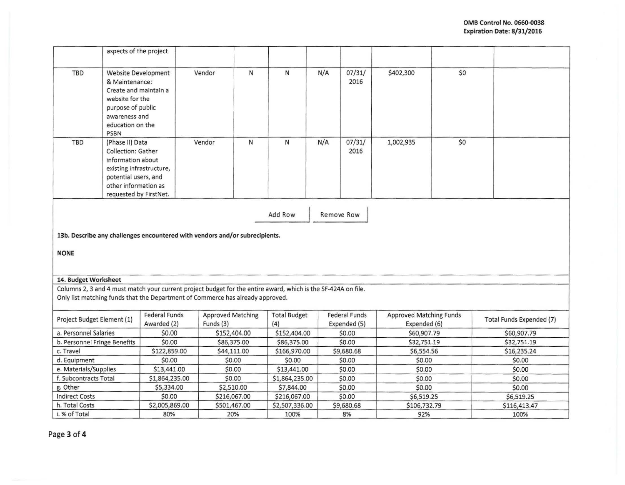|                                                                                            | aspects of the project                                                                                                                                           |                                                                                                                                                                                                 |                                       |   |                            |     |                               |                                         |     |                          |
|--------------------------------------------------------------------------------------------|------------------------------------------------------------------------------------------------------------------------------------------------------------------|-------------------------------------------------------------------------------------------------------------------------------------------------------------------------------------------------|---------------------------------------|---|----------------------------|-----|-------------------------------|-----------------------------------------|-----|--------------------------|
| TBD                                                                                        | Website Development<br>& Maintenance:<br>Create and maintain a<br>website for the<br>purpose of public<br>awareness and<br>education on the<br><b>PSBN</b>       |                                                                                                                                                                                                 | Vendor                                | N | ${\sf N}$                  | N/A | 07/31/<br>2016                | \$402,300                               | \$0 |                          |
| TBD                                                                                        | (Phase II) Data<br>Collection: Gather<br>information about<br>existing infrastructure,<br>potential users, and<br>other information as<br>requested by FirstNet. |                                                                                                                                                                                                 | Vendor                                | N | N                          | N/A | 07/31/<br>2016                | 1,002,935                               | \$0 |                          |
|                                                                                            |                                                                                                                                                                  |                                                                                                                                                                                                 |                                       |   | Add Row                    |     | Remove Row                    |                                         |     |                          |
| 13b. Describe any challenges encountered with vendors and/or subrecipients.<br><b>NONE</b> |                                                                                                                                                                  |                                                                                                                                                                                                 |                                       |   |                            |     |                               |                                         |     |                          |
|                                                                                            |                                                                                                                                                                  |                                                                                                                                                                                                 |                                       |   |                            |     |                               |                                         |     |                          |
| 14. Budget Worksheet                                                                       |                                                                                                                                                                  |                                                                                                                                                                                                 |                                       |   |                            |     |                               |                                         |     |                          |
|                                                                                            |                                                                                                                                                                  | Columns 2, 3 and 4 must match your current project budget for the entire award, which is the SF-424A on file.<br>Only list matching funds that the Department of Commerce has already approved. |                                       |   |                            |     |                               |                                         |     |                          |
| Project Budget Element (1)                                                                 |                                                                                                                                                                  | <b>Federal Funds</b><br>Awarded (2)                                                                                                                                                             | <b>Approved Matching</b><br>Funds (3) |   | <b>Total Budget</b><br>(4) |     | Federal Funds<br>Expended (5) | Approved Matching Funds<br>Expended (6) |     | Total Funds Expended (7) |
| a. Personnel Salaries                                                                      |                                                                                                                                                                  | \$0.00                                                                                                                                                                                          | \$152,404.00                          |   | \$152,404.00               |     | \$0.00                        | \$60,907.79                             |     | \$60,907.79              |
| b. Personnel Fringe Benefits                                                               |                                                                                                                                                                  | \$0.00                                                                                                                                                                                          | \$86,375.00                           |   | \$86,375.00                |     | \$0.00                        | \$32,751.19                             |     | \$32,751.19              |
| c. Travel                                                                                  |                                                                                                                                                                  | \$122,859.00                                                                                                                                                                                    | \$44,111.00                           |   | \$166,970.00               |     | \$9,680.68                    | \$6,554.56                              |     | \$16,235.24              |
| d. Equipment                                                                               |                                                                                                                                                                  | \$0.00                                                                                                                                                                                          | \$0.00                                |   | \$0.00                     |     | \$0.00                        | \$0.00                                  |     | \$0.00                   |
| e. Materials/Supplies                                                                      |                                                                                                                                                                  | \$13,441.00                                                                                                                                                                                     | \$0.00                                |   | \$13,441.00                |     | \$0.00                        | \$0.00                                  |     | \$0.00                   |
| f. Subcontracts Total                                                                      |                                                                                                                                                                  | \$1,864,235.00                                                                                                                                                                                  | \$0.00                                |   | \$1,864,235.00             |     | \$0.00                        | \$0.00                                  |     | \$0.00                   |
| g. Other                                                                                   |                                                                                                                                                                  | \$5,334.00                                                                                                                                                                                      | \$2,510.00                            |   | \$7,844.00                 |     | \$0.00                        | \$0.00                                  |     | \$0.00                   |
| <b>Indirect Costs</b>                                                                      |                                                                                                                                                                  | \$0.00                                                                                                                                                                                          | \$216,067.00                          |   | \$216,067.00               |     | \$0.00                        | \$6,519.25                              |     | \$6,519.25               |
| h. Total Costs                                                                             |                                                                                                                                                                  | \$2,005,869.00                                                                                                                                                                                  | \$501,467.00                          |   | \$2,507,336.00             |     | \$9,680.68                    | \$106,732.79                            |     | \$116,413.47             |
| i. % of Total                                                                              |                                                                                                                                                                  | 80%                                                                                                                                                                                             | 20%                                   |   | 100%                       |     | 8%                            | 92%                                     |     | 100%                     |